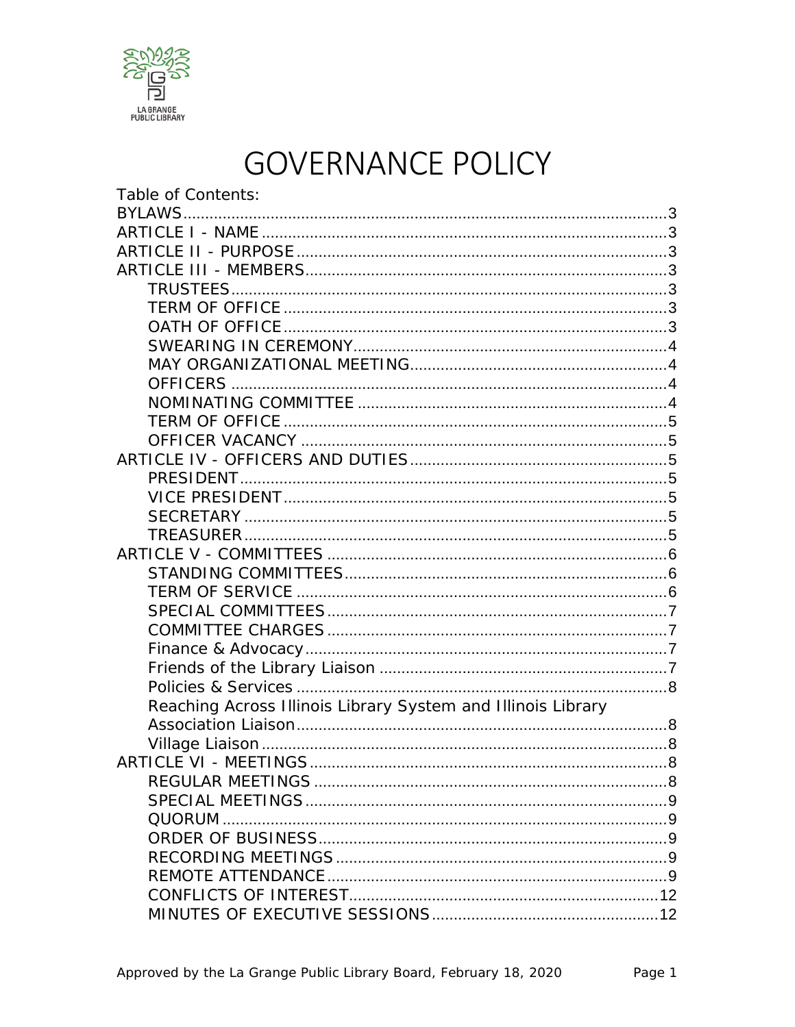

# **GOVERNANCE POLICY**

| Table of Contents:                                           |  |
|--------------------------------------------------------------|--|
|                                                              |  |
|                                                              |  |
|                                                              |  |
|                                                              |  |
|                                                              |  |
|                                                              |  |
|                                                              |  |
|                                                              |  |
|                                                              |  |
|                                                              |  |
|                                                              |  |
|                                                              |  |
|                                                              |  |
|                                                              |  |
|                                                              |  |
|                                                              |  |
|                                                              |  |
|                                                              |  |
|                                                              |  |
|                                                              |  |
|                                                              |  |
|                                                              |  |
|                                                              |  |
|                                                              |  |
|                                                              |  |
|                                                              |  |
| Reaching Across Illinois Library System and Illinois Library |  |
|                                                              |  |
|                                                              |  |
|                                                              |  |
|                                                              |  |
|                                                              |  |
|                                                              |  |
|                                                              |  |
|                                                              |  |
|                                                              |  |
|                                                              |  |
|                                                              |  |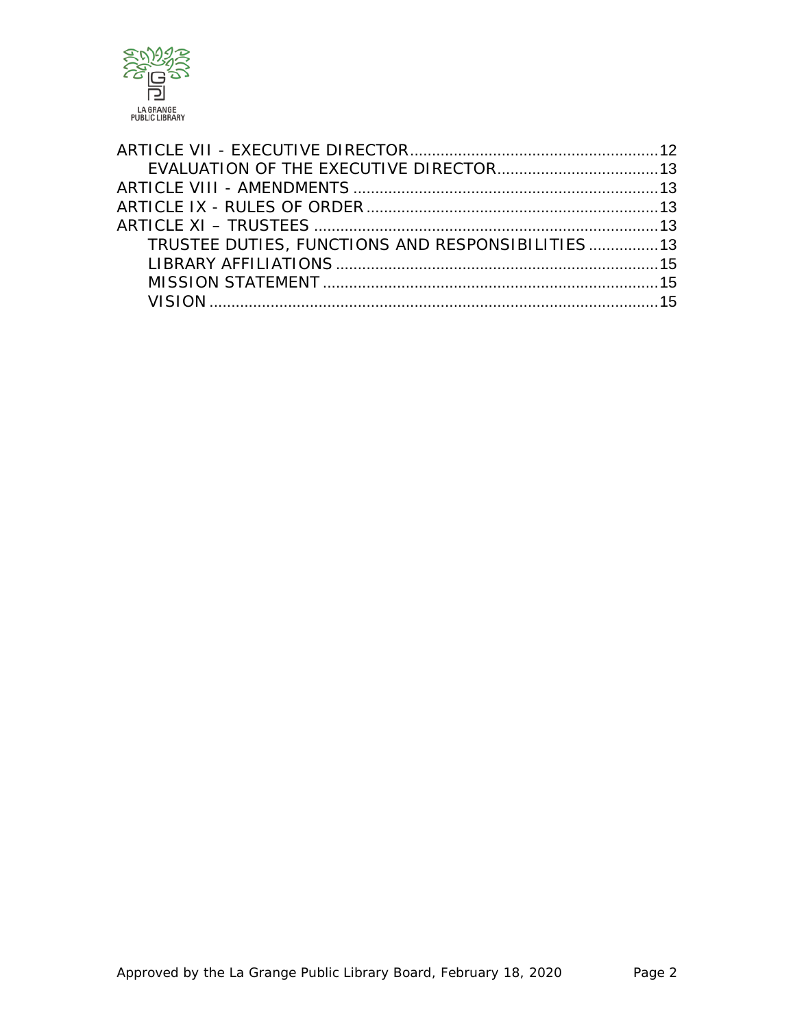

| TRUSTEE DUTIES, FUNCTIONS AND RESPONSIBILITIES 13 |  |
|---------------------------------------------------|--|
|                                                   |  |
|                                                   |  |
|                                                   |  |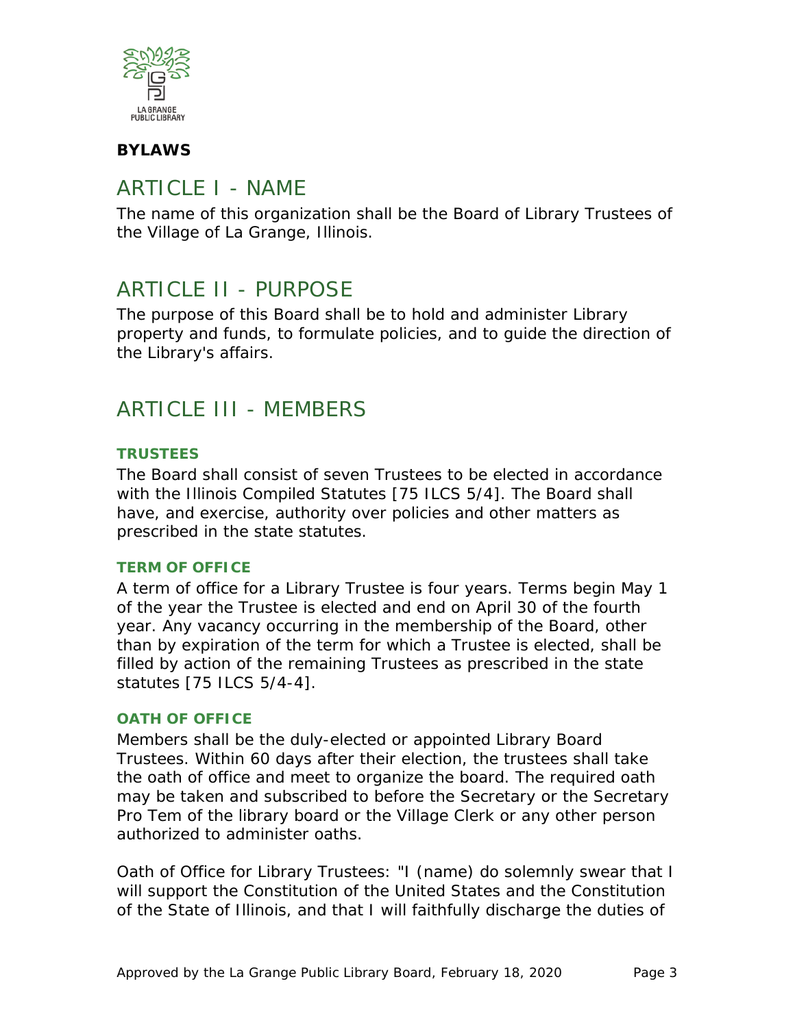

### <span id="page-2-0"></span>**BYLAWS**

### <span id="page-2-1"></span>ARTICLE I - NAME

The name of this organization shall be the Board of Library Trustees of the Village of La Grange, Illinois.

### <span id="page-2-2"></span>ARTICLE II - PURPOSE

The purpose of this Board shall be to hold and administer Library property and funds, to formulate policies, and to guide the direction of the Library's affairs.

### <span id="page-2-3"></span>ARTICLE III - MEMBERS

#### <span id="page-2-4"></span>**TRUSTEES**

The Board shall consist of seven Trustees to be elected in accordance with the Illinois Compiled Statutes [75 ILCS 5/4]. The Board shall have, and exercise, authority over policies and other matters as prescribed in the state statutes.

#### <span id="page-2-5"></span>**TERM OF OFFICE**

A term of office for a Library Trustee is four years. Terms begin May 1 of the year the Trustee is elected and end on April 30 of the fourth year. Any vacancy occurring in the membership of the Board, other than by expiration of the term for which a Trustee is elected, shall be filled by action of the remaining Trustees as prescribed in the state statutes [75 ILCS 5/4-4].

#### <span id="page-2-6"></span>**OATH OF OFFICE**

Members shall be the duly-elected or appointed Library Board Trustees. Within 60 days after their election, the trustees shall take the oath of office and meet to organize the board. The required oath may be taken and subscribed to before the Secretary or the Secretary Pro Tem of the library board or the Village Clerk or any other person authorized to administer oaths.

Oath of Office for Library Trustees: "I (name) do solemnly swear that I will support the Constitution of the United States and the Constitution of the State of Illinois, and that I will faithfully discharge the duties of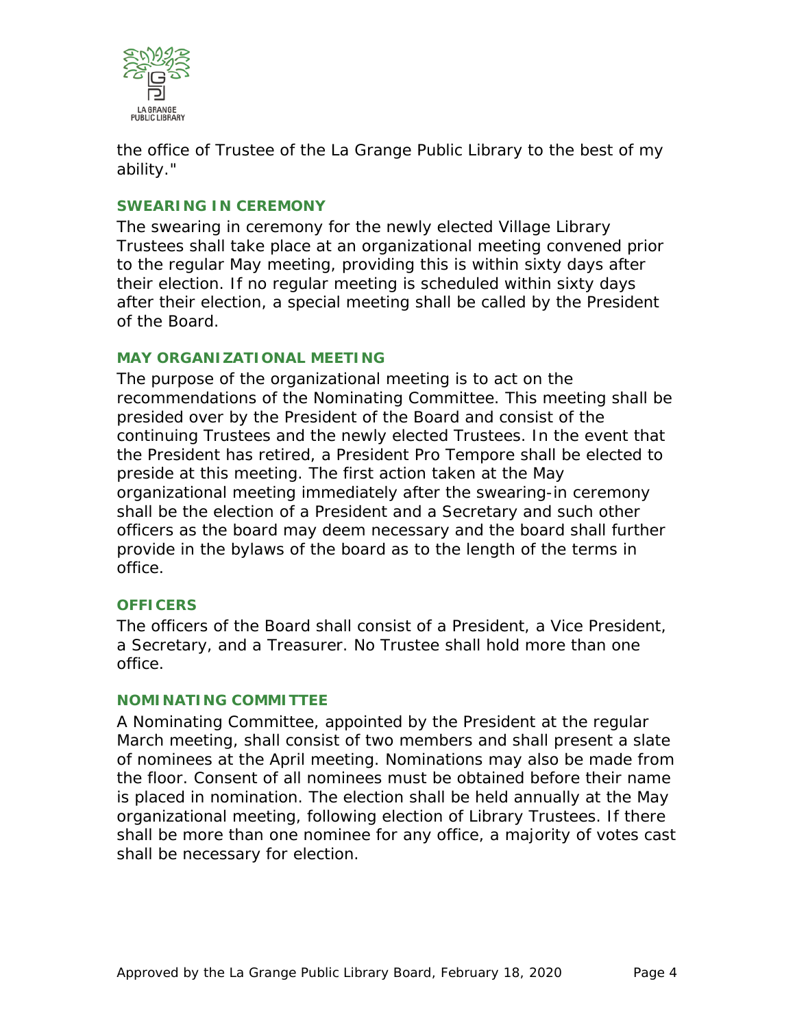

the office of Trustee of the La Grange Public Library to the best of my ability."

#### <span id="page-3-0"></span>**SWEARING IN CEREMONY**

The swearing in ceremony for the newly elected Village Library Trustees shall take place at an organizational meeting convened prior to the regular May meeting, providing this is within sixty days after their election. If no regular meeting is scheduled within sixty days after their election, a special meeting shall be called by the President of the Board.

#### <span id="page-3-1"></span>**MAY ORGANIZATIONAL MEETING**

The purpose of the organizational meeting is to act on the recommendations of the Nominating Committee. This meeting shall be presided over by the President of the Board and consist of the continuing Trustees and the newly elected Trustees. In the event that the President has retired, a President Pro Tempore shall be elected to preside at this meeting. The first action taken at the May organizational meeting immediately after the swearing-in ceremony shall be the election of a President and a Secretary and such other officers as the board may deem necessary and the board shall further provide in the bylaws of the board as to the length of the terms in office.

#### <span id="page-3-2"></span>**OFFICERS**

The officers of the Board shall consist of a President, a Vice President, a Secretary, and a Treasurer. No Trustee shall hold more than one office.

#### <span id="page-3-3"></span>**NOMINATING COMMITTEE**

A Nominating Committee, appointed by the President at the regular March meeting, shall consist of two members and shall present a slate of nominees at the April meeting. Nominations may also be made from the floor. Consent of all nominees must be obtained before their name is placed in nomination. The election shall be held annually at the May organizational meeting, following election of Library Trustees. If there shall be more than one nominee for any office, a majority of votes cast shall be necessary for election.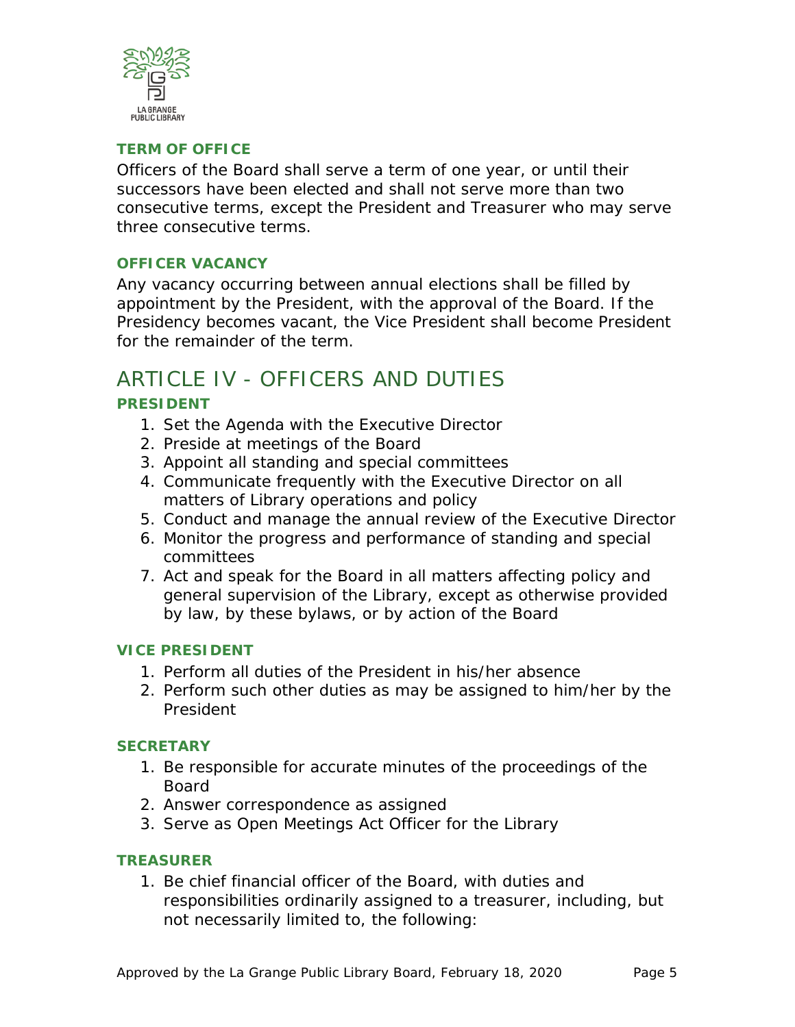

#### <span id="page-4-0"></span>**TERM OF OFFICE**

Officers of the Board shall serve a term of one year, or until their successors have been elected and shall not serve more than two consecutive terms, except the President and Treasurer who may serve three consecutive terms.

#### <span id="page-4-1"></span>**OFFICER VACANCY**

Any vacancy occurring between annual elections shall be filled by appointment by the President, with the approval of the Board. If the Presidency becomes vacant, the Vice President shall become President for the remainder of the term.

### <span id="page-4-3"></span><span id="page-4-2"></span>ARTICLE IV - OFFICERS AND DUTIES **PRESIDENT**

- 1. Set the Agenda with the Executive Director
- 2. Preside at meetings of the Board
- 3. Appoint all standing and special committees
- 4. Communicate frequently with the Executive Director on all matters of Library operations and policy
- 5. Conduct and manage the annual review of the Executive Director
- 6. Monitor the progress and performance of standing and special committees
- 7. Act and speak for the Board in all matters affecting policy and general supervision of the Library, except as otherwise provided by law, by these bylaws, or by action of the Board

#### <span id="page-4-4"></span>**VICE PRESIDENT**

- 1. Perform all duties of the President in his/her absence
- 2. Perform such other duties as may be assigned to him/her by the President

#### <span id="page-4-5"></span>**SECRETARY**

- 1. Be responsible for accurate minutes of the proceedings of the Board
- 2. Answer correspondence as assigned
- 3. Serve as Open Meetings Act Officer for the Library

#### <span id="page-4-6"></span>**TREASURER**

1. Be chief financial officer of the Board, with duties and responsibilities ordinarily assigned to a treasurer, including, but not necessarily limited to, the following: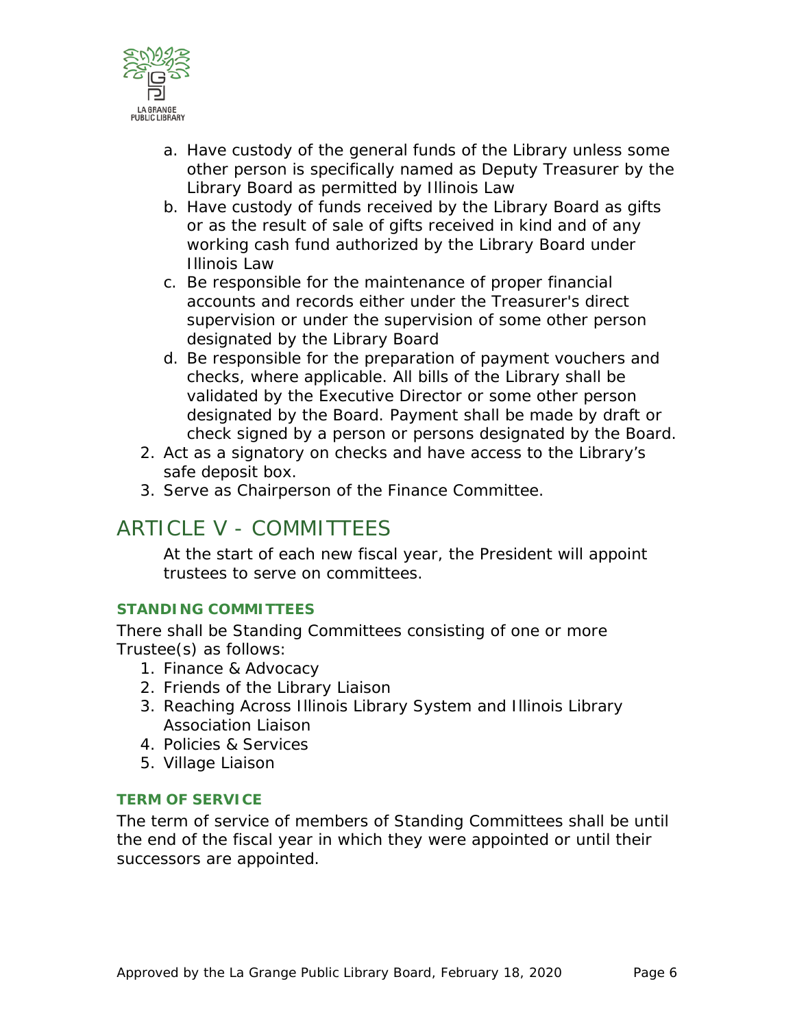

- a. Have custody of the general funds of the Library unless some other person is specifically named as Deputy Treasurer by the Library Board as permitted by Illinois Law
- b. Have custody of funds received by the Library Board as gifts or as the result of sale of gifts received in kind and of any working cash fund authorized by the Library Board under Illinois Law
- c. Be responsible for the maintenance of proper financial accounts and records either under the Treasurer's direct supervision or under the supervision of some other person designated by the Library Board
- d. Be responsible for the preparation of payment vouchers and checks, where applicable. All bills of the Library shall be validated by the Executive Director or some other person designated by the Board. Payment shall be made by draft or check signed by a person or persons designated by the Board.
- 2. Act as a signatory on checks and have access to the Library's safe deposit box.
- 3. Serve as Chairperson of the Finance Committee.

## <span id="page-5-0"></span>ARTICLE V - COMMITTEES

At the start of each new fiscal year, the President will appoint trustees to serve on committees.

#### <span id="page-5-1"></span>**STANDING COMMITTEES**

There shall be Standing Committees consisting of one or more Trustee(s) as follows:

- 1. Finance & Advocacy
- 2. Friends of the Library Liaison
- 3. Reaching Across Illinois Library System and Illinois Library Association Liaison
- 4. Policies & Services
- 5. Village Liaison

#### <span id="page-5-2"></span>**TERM OF SERVICE**

The term of service of members of Standing Committees shall be until the end of the fiscal year in which they were appointed or until their successors are appointed.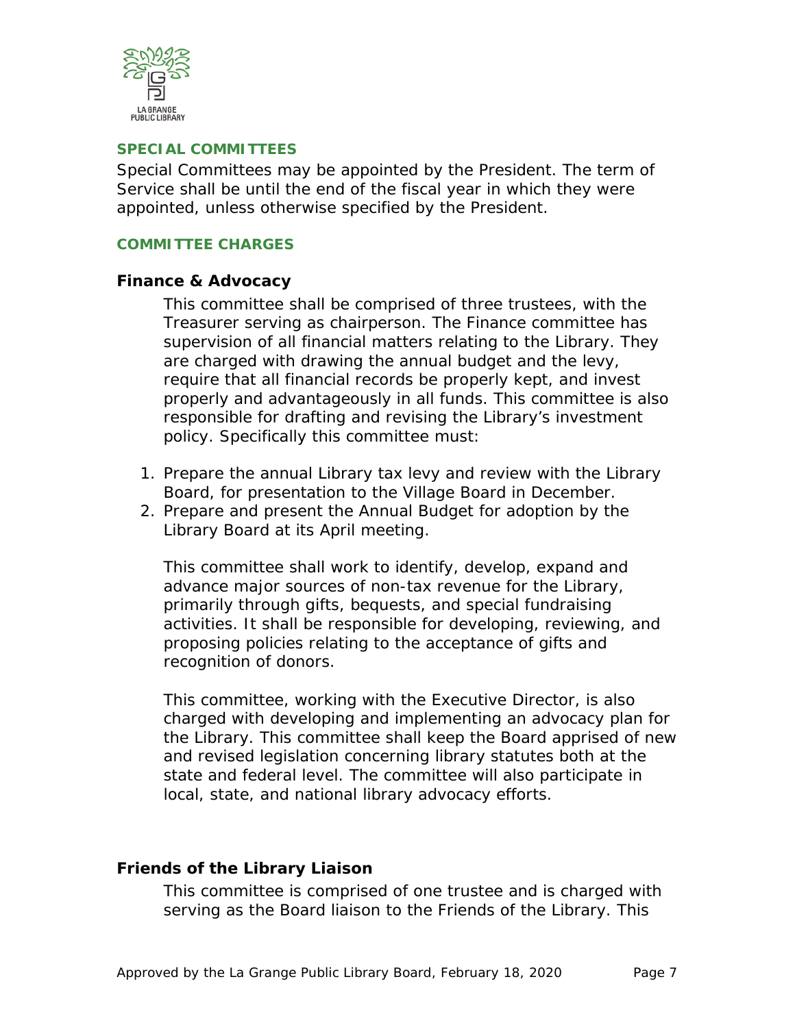

#### <span id="page-6-0"></span>**SPECIAL COMMITTEES**

Special Committees may be appointed by the President. The term of Service shall be until the end of the fiscal year in which they were appointed, unless otherwise specified by the President.

#### <span id="page-6-2"></span><span id="page-6-1"></span>**COMMITTEE CHARGES**

#### **Finance & Advocacy**

This committee shall be comprised of three trustees, with the Treasurer serving as chairperson. The Finance committee has supervision of all financial matters relating to the Library. They are charged with drawing the annual budget and the levy, require that all financial records be properly kept, and invest properly and advantageously in all funds. This committee is also responsible for drafting and revising the Library's investment policy. Specifically this committee must:

- 1. Prepare the annual Library tax levy and review with the Library Board, for presentation to the Village Board in December.
- 2. Prepare and present the Annual Budget for adoption by the Library Board at its April meeting.

This committee shall work to identify, develop, expand and advance major sources of non-tax revenue for the Library, primarily through gifts, bequests, and special fundraising activities. It shall be responsible for developing, reviewing, and proposing policies relating to the acceptance of gifts and recognition of donors.

This committee, working with the Executive Director, is also charged with developing and implementing an advocacy plan for the Library. This committee shall keep the Board apprised of new and revised legislation concerning library statutes both at the state and federal level. The committee will also participate in local, state, and national library advocacy efforts.

#### <span id="page-6-3"></span>**Friends of the Library Liaison**

This committee is comprised of one trustee and is charged with serving as the Board liaison to the Friends of the Library. This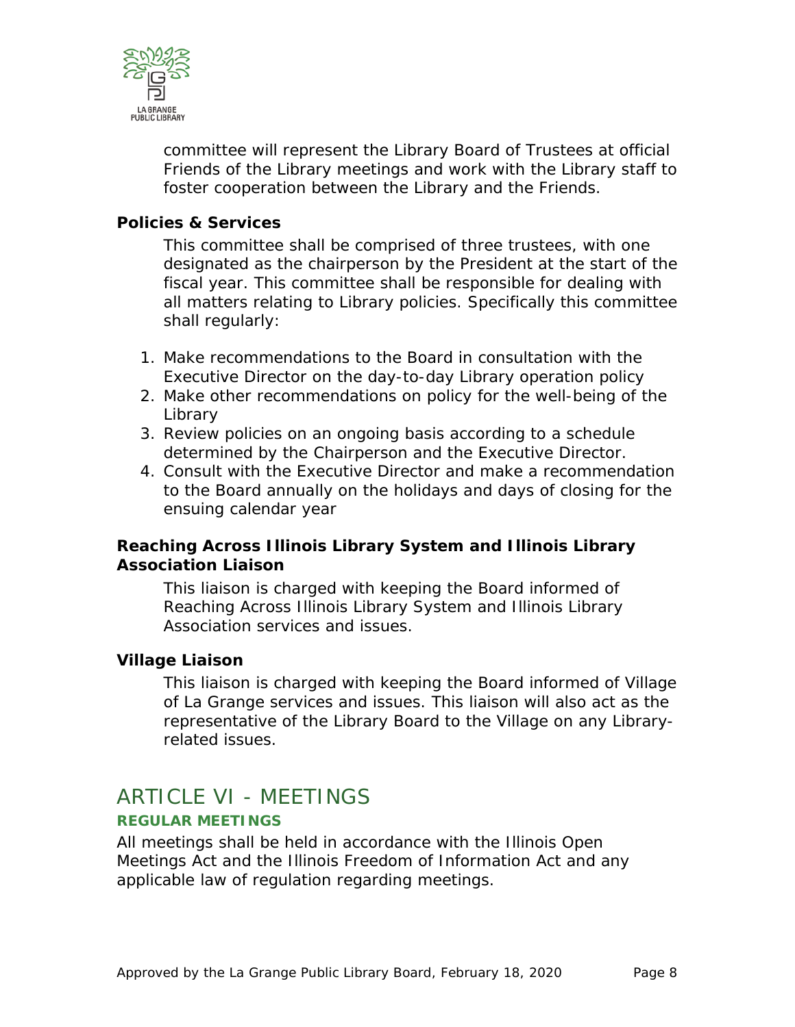

committee will represent the Library Board of Trustees at official Friends of the Library meetings and work with the Library staff to foster cooperation between the Library and the Friends.

#### <span id="page-7-0"></span>**Policies & Services**

This committee shall be comprised of three trustees, with one designated as the chairperson by the President at the start of the fiscal year. This committee shall be responsible for dealing with all matters relating to Library policies. Specifically this committee shall regularly:

- 1. Make recommendations to the Board in consultation with the Executive Director on the day-to-day Library operation policy
- 2. Make other recommendations on policy for the well-being of the **Library**
- 3. Review policies on an ongoing basis according to a schedule determined by the Chairperson and the Executive Director.
- 4. Consult with the Executive Director and make a recommendation to the Board annually on the holidays and days of closing for the ensuing calendar year

#### <span id="page-7-1"></span>**Reaching Across Illinois Library System and Illinois Library Association Liaison**

This liaison is charged with keeping the Board informed of Reaching Across Illinois Library System and Illinois Library Association services and issues.

#### <span id="page-7-2"></span>**Village Liaison**

This liaison is charged with keeping the Board informed of Village of La Grange services and issues. This liaison will also act as the representative of the Library Board to the Village on any Libraryrelated issues.

### <span id="page-7-3"></span>ARTICLE VI - MEETINGS

#### <span id="page-7-4"></span>**REGULAR MEETINGS**

All meetings shall be held in accordance with the Illinois Open Meetings Act and the Illinois Freedom of Information Act and any applicable law of regulation regarding meetings.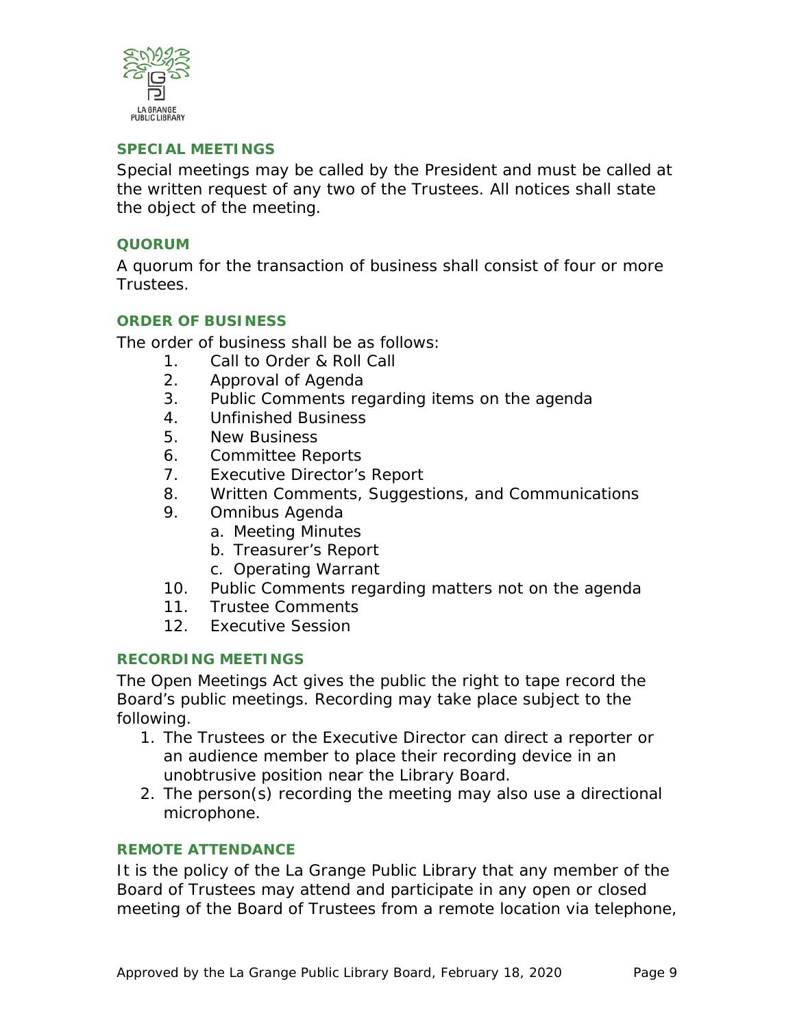

#### <span id="page-8-0"></span>**SPECIAL MEETINGS**

Special meetings may be called by the President and must be called at the written request of any two of the Trustees. All notices shall state the object of the meeting.

#### <span id="page-8-1"></span>**QUORUM**

A quorum for the transaction of business shall consist of four or more Trustees.

#### <span id="page-8-2"></span>**ORDER OF BUSINESS**

The order of business shall be as follows:

- 1. Call to Order & Roll Call
- 2. Approval of Agenda
- 3. Public Comments regarding items on the agenda
- 4. Unfinished Business
- 5. New Business
- 6. Committee Reports
- 7. Executive Director's Report
- 8. Written Comments, Suggestions, and Communications
- 9. Omnibus Agenda
	- a. Meeting Minutes
	- b. Treasurer's Report
	- c. Operating Warrant
- 10. Public Comments regarding matters not on the agenda
- 11. Trustee Comments
- 12. Executive Session

#### <span id="page-8-3"></span>**RECORDING MEETINGS**

The Open Meetings Act gives the public the right to tape record the Board's public meetings. Recording may take place subject to the following.

- 1. The Trustees or the Executive Director can direct a reporter or an audience member to place their recording device in an unobtrusive position near the Library Board.
- 2. The person(s) recording the meeting may also use a directional microphone.

#### <span id="page-8-4"></span>**REMOTE ATTENDANCE**

It is the policy of the La Grange Public Library that any member of the Board of Trustees may attend and participate in any open or closed meeting of the Board of Trustees from a remote location via telephone,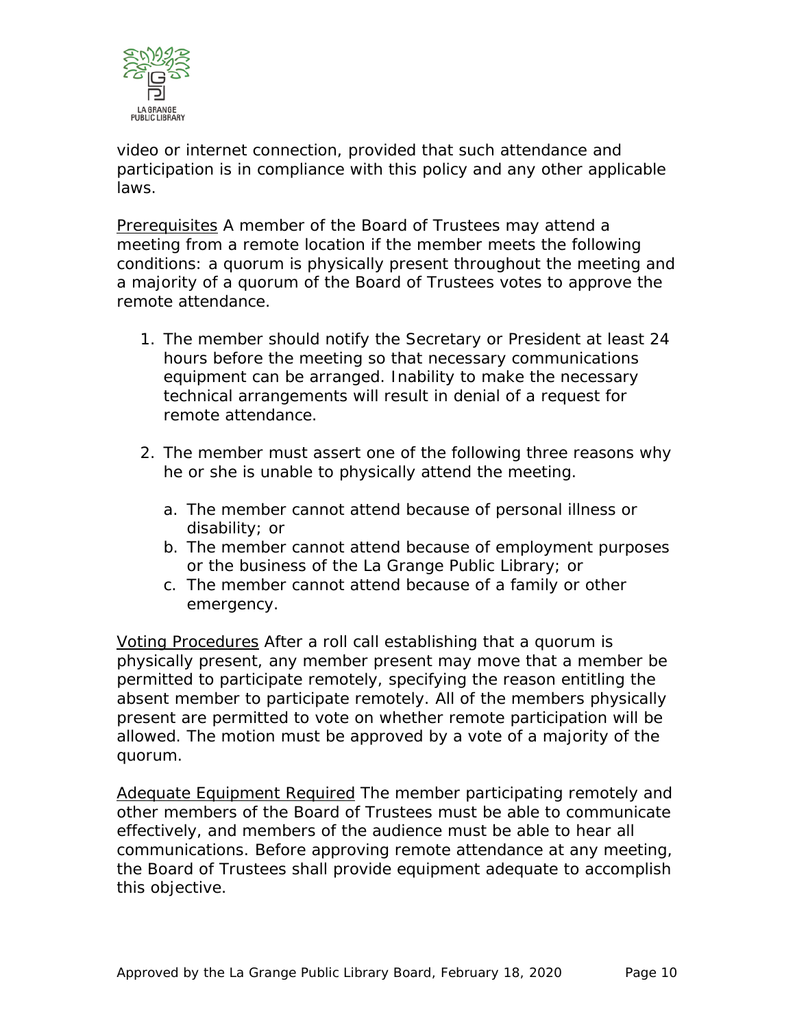

video or internet connection, provided that such attendance and participation is in compliance with this policy and any other applicable laws.

Prerequisites A member of the Board of Trustees may attend a meeting from a remote location if the member meets the following conditions: a quorum is physically present throughout the meeting and a majority of a quorum of the Board of Trustees votes to approve the remote attendance.

- 1. The member should notify the Secretary or President at least 24 hours before the meeting so that necessary communications equipment can be arranged. Inability to make the necessary technical arrangements will result in denial of a request for remote attendance.
- 2. The member must assert one of the following three reasons why he or she is unable to physically attend the meeting.
	- a. The member cannot attend because of personal illness or disability; or
	- b. The member cannot attend because of employment purposes or the business of the La Grange Public Library; or
	- c. The member cannot attend because of a family or other emergency.

Voting Procedures After a roll call establishing that a quorum is physically present, any member present may move that a member be permitted to participate remotely, specifying the reason entitling the absent member to participate remotely. All of the members physically present are permitted to vote on whether remote participation will be allowed. The motion must be approved by a vote of a majority of the quorum.

Adequate Equipment Required The member participating remotely and other members of the Board of Trustees must be able to communicate effectively, and members of the audience must be able to hear all communications. Before approving remote attendance at any meeting, the Board of Trustees shall provide equipment adequate to accomplish this objective.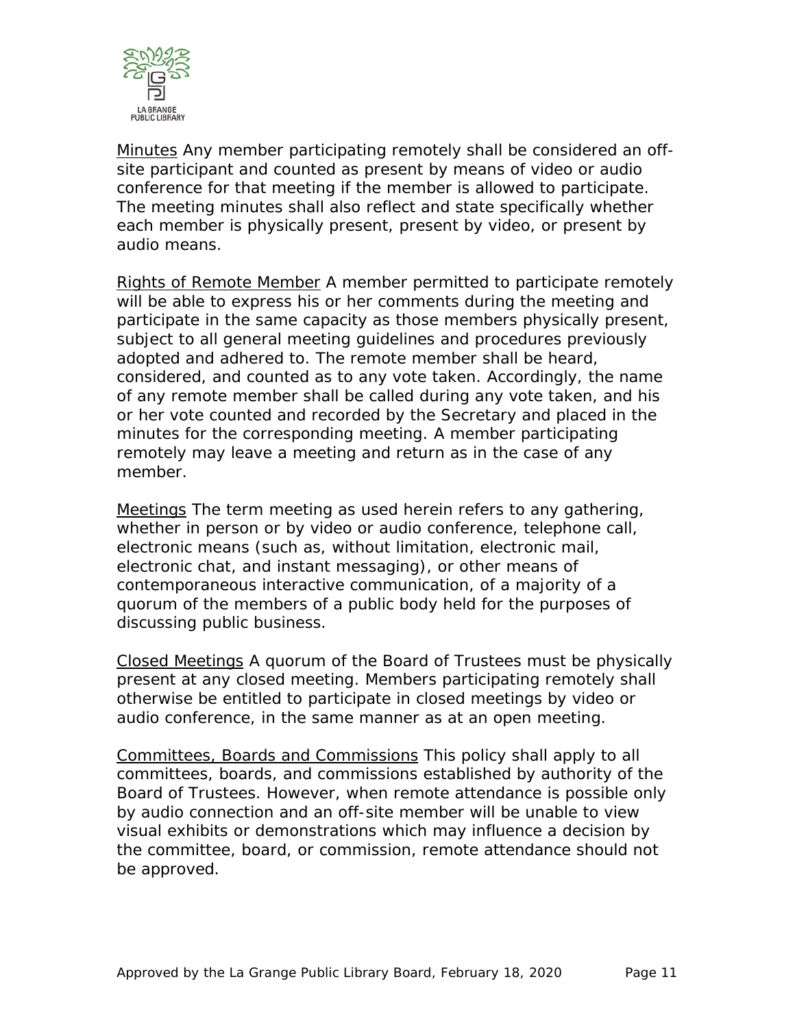

Minutes Any member participating remotely shall be considered an offsite participant and counted as present by means of video or audio conference for that meeting if the member is allowed to participate. The meeting minutes shall also reflect and state specifically whether each member is physically present, present by video, or present by audio means.

Rights of Remote Member A member permitted to participate remotely will be able to express his or her comments during the meeting and participate in the same capacity as those members physically present, subject to all general meeting guidelines and procedures previously adopted and adhered to. The remote member shall be heard, considered, and counted as to any vote taken. Accordingly, the name of any remote member shall be called during any vote taken, and his or her vote counted and recorded by the Secretary and placed in the minutes for the corresponding meeting. A member participating remotely may leave a meeting and return as in the case of any member.

Meetings The term meeting as used herein refers to any gathering, whether in person or by video or audio conference, telephone call, electronic means (such as, without limitation, electronic mail, electronic chat, and instant messaging), or other means of contemporaneous interactive communication, of a majority of a quorum of the members of a public body held for the purposes of discussing public business.

Closed Meetings A quorum of the Board of Trustees must be physically present at any closed meeting. Members participating remotely shall otherwise be entitled to participate in closed meetings by video or audio conference, in the same manner as at an open meeting.

Committees, Boards and Commissions This policy shall apply to all committees, boards, and commissions established by authority of the Board of Trustees. However, when remote attendance is possible only by audio connection and an off-site member will be unable to view visual exhibits or demonstrations which may influence a decision by the committee, board, or commission, remote attendance should not be approved.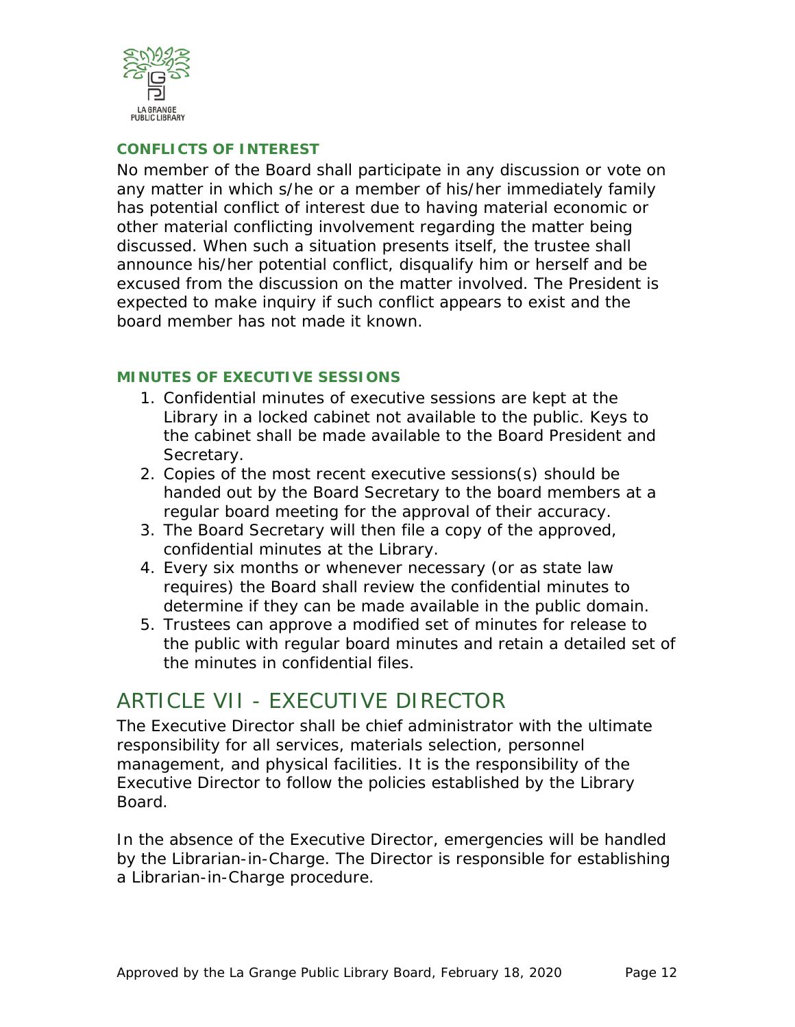

#### <span id="page-11-0"></span>**CONFLICTS OF INTEREST**

No member of the Board shall participate in any discussion or vote on any matter in which s/he or a member of his/her immediately family has potential conflict of interest due to having material economic or other material conflicting involvement regarding the matter being discussed. When such a situation presents itself, the trustee shall announce his/her potential conflict, disqualify him or herself and be excused from the discussion on the matter involved. The President is expected to make inquiry if such conflict appears to exist and the board member has not made it known.

#### <span id="page-11-1"></span>**MINUTES OF EXECUTIVE SESSIONS**

- 1. Confidential minutes of executive sessions are kept at the Library in a locked cabinet not available to the public. Keys to the cabinet shall be made available to the Board President and Secretary.
- 2. Copies of the most recent executive sessions(s) should be handed out by the Board Secretary to the board members at a regular board meeting for the approval of their accuracy.
- 3. The Board Secretary will then file a copy of the approved, confidential minutes at the Library.
- 4. Every six months or whenever necessary (or as state law requires) the Board shall review the confidential minutes to determine if they can be made available in the public domain.
- 5. Trustees can approve a modified set of minutes for release to the public with regular board minutes and retain a detailed set of the minutes in confidential files.

### <span id="page-11-2"></span>ARTICLE VII - EXECUTIVE DIRECTOR

The Executive Director shall be chief administrator with the ultimate responsibility for all services, materials selection, personnel management, and physical facilities. It is the responsibility of the Executive Director to follow the policies established by the Library Board.

In the absence of the Executive Director, emergencies will be handled by the Librarian-in-Charge. The Director is responsible for establishing a Librarian-in-Charge procedure.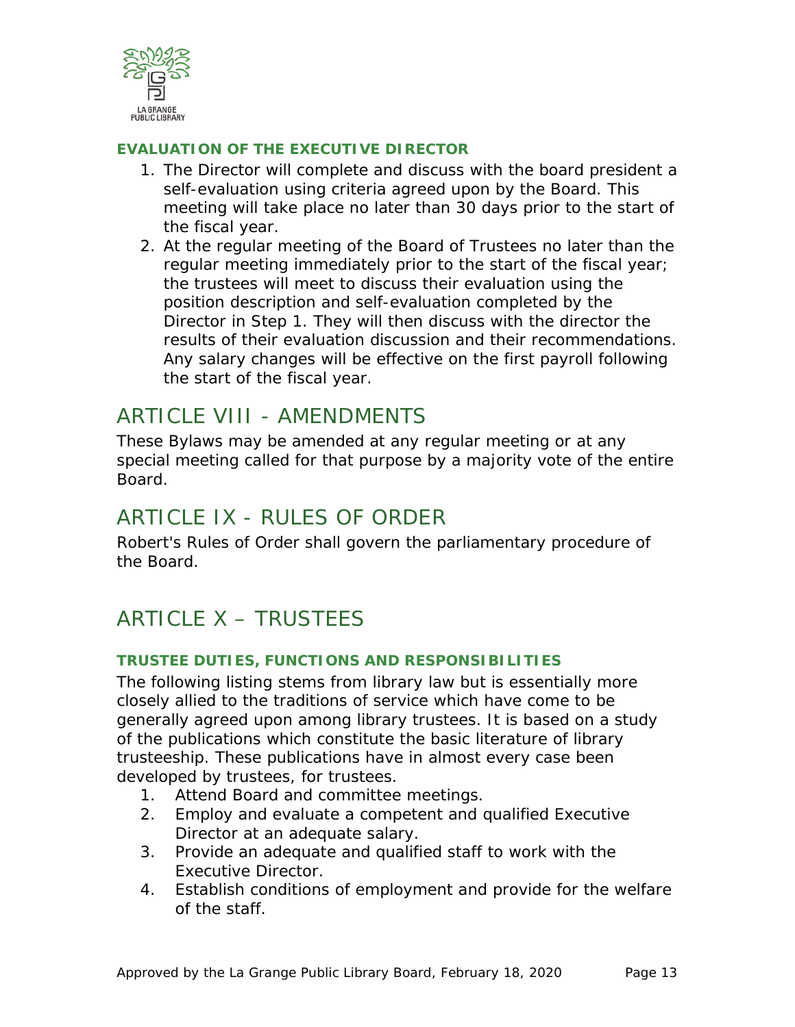

#### <span id="page-12-0"></span>**EVALUATION OF THE EXECUTIVE DIRECTOR**

- 1. The Director will complete and discuss with the board president a self-evaluation using criteria agreed upon by the Board. This meeting will take place no later than 30 days prior to the start of the fiscal year.
- 2. At the regular meeting of the Board of Trustees no later than the regular meeting immediately prior to the start of the fiscal year; the trustees will meet to discuss their evaluation using the position description and self-evaluation completed by the Director in Step 1. They will then discuss with the director the results of their evaluation discussion and their recommendations. Any salary changes will be effective on the first payroll following the start of the fiscal year.

### <span id="page-12-1"></span>ARTICLE VIII - AMENDMENTS

These Bylaws may be amended at any regular meeting or at any special meeting called for that purpose by a majority vote of the entire Board.

### <span id="page-12-2"></span>ARTICLE IX - RULES OF ORDER

Robert's Rules of Order shall govern the parliamentary procedure of the Board.

# <span id="page-12-3"></span>ARTICLE X – TRUSTEES

#### <span id="page-12-4"></span>**TRUSTEE DUTIES, FUNCTIONS AND RESPONSIBILITIES**

The following listing stems from library law but is essentially more closely allied to the traditions of service which have come to be generally agreed upon among library trustees. It is based on a study of the publications which constitute the basic literature of library trusteeship. These publications have in almost every case been developed by trustees, for trustees.

- 1. Attend Board and committee meetings.
- 2. Employ and evaluate a competent and qualified Executive Director at an adequate salary.
- 3. Provide an adequate and qualified staff to work with the Executive Director.
- 4. Establish conditions of employment and provide for the welfare of the staff.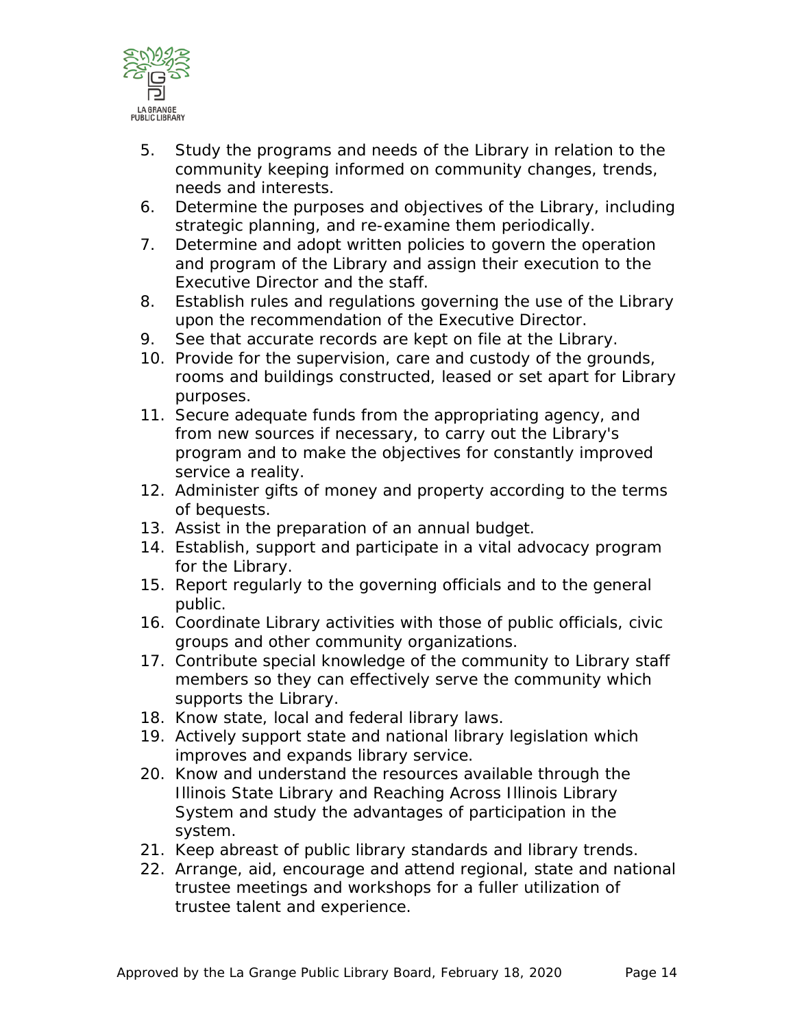

- 5. Study the programs and needs of the Library in relation to the community keeping informed on community changes, trends, needs and interests.
- 6. Determine the purposes and objectives of the Library, including strategic planning, and re-examine them periodically.
- 7. Determine and adopt written policies to govern the operation and program of the Library and assign their execution to the Executive Director and the staff.
- 8. Establish rules and regulations governing the use of the Library upon the recommendation of the Executive Director.
- 9. See that accurate records are kept on file at the Library.
- 10. Provide for the supervision, care and custody of the grounds, rooms and buildings constructed, leased or set apart for Library purposes.
- 11. Secure adequate funds from the appropriating agency, and from new sources if necessary, to carry out the Library's program and to make the objectives for constantly improved service a reality.
- 12. Administer gifts of money and property according to the terms of bequests.
- 13. Assist in the preparation of an annual budget.
- 14. Establish, support and participate in a vital advocacy program for the Library.
- 15. Report regularly to the governing officials and to the general public.
- 16. Coordinate Library activities with those of public officials, civic groups and other community organizations.
- 17. Contribute special knowledge of the community to Library staff members so they can effectively serve the community which supports the Library.
- 18. Know state, local and federal library laws.
- 19. Actively support state and national library legislation which improves and expands library service.
- 20. Know and understand the resources available through the Illinois State Library and Reaching Across Illinois Library System and study the advantages of participation in the system.
- 21. Keep abreast of public library standards and library trends.
- 22. Arrange, aid, encourage and attend regional, state and national trustee meetings and workshops for a fuller utilization of trustee talent and experience.